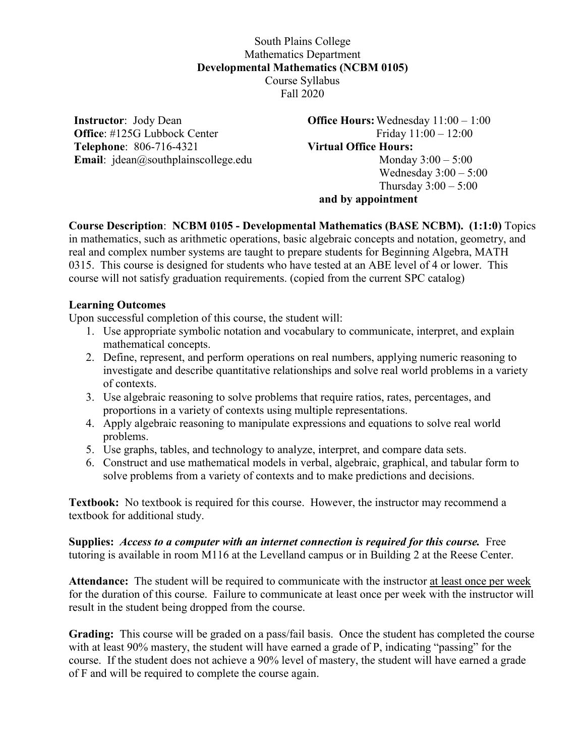## South Plains College Mathematics Department **Developmental Mathematics (NCBM 0105)** Course Syllabus Fall 2020

**Instructor**: Jody Dean **Office**: #125G Lubbock Center **Telephone**: 806-716-4321 **Email**: jdean@southplainscollege.edu **Office Hours:**Wednesday 11:00 – 1:00 Friday 11:00 – 12:00 **Virtual Office Hours:**  Monday 3:00 – 5:00 Wednesday 3:00 – 5:00 Thursday  $3:00 - 5:00$ **and by appointment**

**Course Description**: **NCBM 0105 - Developmental Mathematics (BASE NCBM). (1:1:0)** Topics in mathematics, such as arithmetic operations, basic algebraic concepts and notation, geometry, and real and complex number systems are taught to prepare students for Beginning Algebra, MATH 0315. This course is designed for students who have tested at an ABE level of 4 or lower. This course will not satisfy graduation requirements. (copied from the current SPC catalog)

## **Learning Outcomes**

Upon successful completion of this course, the student will:

- 1. Use appropriate symbolic notation and vocabulary to communicate, interpret, and explain mathematical concepts.
- 2. Define, represent, and perform operations on real numbers, applying numeric reasoning to investigate and describe quantitative relationships and solve real world problems in a variety of contexts.
- 3. Use algebraic reasoning to solve problems that require ratios, rates, percentages, and proportions in a variety of contexts using multiple representations.
- 4. Apply algebraic reasoning to manipulate expressions and equations to solve real world problems.
- 5. Use graphs, tables, and technology to analyze, interpret, and compare data sets.
- 6. Construct and use mathematical models in verbal, algebraic, graphical, and tabular form to solve problems from a variety of contexts and to make predictions and decisions.

**Textbook:** No textbook is required for this course. However, the instructor may recommend a textbook for additional study.

**Supplies:** *Access to a computer with an internet connection is required for this course.* Free tutoring is available in room M116 at the Levelland campus or in Building 2 at the Reese Center.

**Attendance:** The student will be required to communicate with the instructor at least once per week for the duration of this course. Failure to communicate at least once per week with the instructor will result in the student being dropped from the course.

**Grading:** This course will be graded on a pass/fail basis. Once the student has completed the course with at least 90% mastery, the student will have earned a grade of P, indicating "passing" for the course. If the student does not achieve a 90% level of mastery, the student will have earned a grade of F and will be required to complete the course again.